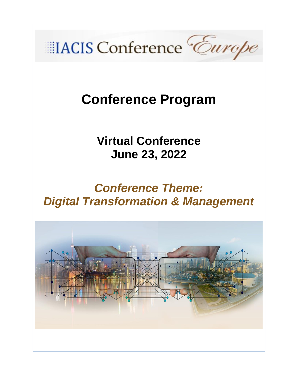

# **Conference Program**

**Virtual Conference June 23, 2022**

## *Conference Theme: Digital Transformation & Management*

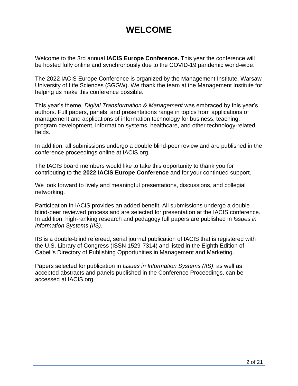### **WELCOME**

Welcome to the 3rd annual **IACIS Europe Conference.** This year the conference will be hosted fully online and synchronously due to the COVID-19 pandemic world-wide.

The 2022 IACIS Europe Conference is organized by the Management Institute, Warsaw University of Life Sciences (SGGW). We thank the team at the Management Institute for helping us make this conference possible.

This year's theme*, Digital Transformation & Management* was embraced by this year's authors. Full papers, panels, and presentations range in topics from applications of management and applications of information technology for business, teaching, program development, information systems, healthcare, and other technology-related fields.

In addition, all submissions undergo a double blind-peer review and are published in the conference proceedings online at IACIS.org.

The IACIS board members would like to take this opportunity to thank you for contributing to the **2022 IACIS Europe Conference** and for your continued support.

We look forward to lively and meaningful presentations, discussions, and collegial networking.

Participation in IACIS provides an added benefit. All submissions undergo a double blind-peer reviewed process and are selected for presentation at the IACIS conference. In addition, high-ranking research and pedagogy full papers are published in *Issues in Information Systems (IIS).*

IIS is a double-blind refereed, serial journal publication of IACIS that is registered with the U.S. Library of Congress (ISSN 1529-7314) and listed in the Eighth Edition of Cabell's Directory of Publishing Opportunities in Management and Marketing.

Papers selected for publication in *Issues in Information Systems (IIS)*, as well as accepted abstracts and panels published in the Conference Proceedings, can be accessed at IACIS.org.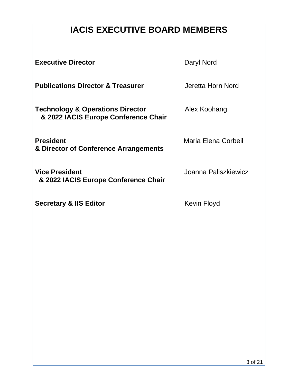### **IACIS EXECUTIVE BOARD MEMBERS**

**Executive Director Daryl Nord** 

**Publications Director & Treasurer** *Jeretta Horn Nord* 

**Technology & Operations Director <b>Alex Koohang & 2022 IACIS Europe Conference Chair**

**President Company President Company Maria Elena Corbeil & Director of Conference Arrangements**

**Vice President Vice President Joanna Paliszkiewicz & 2022 IACIS Europe Conference Chair**

**Secretary & IIS Editor CONSERVING EXECUTE:** Kevin Floyd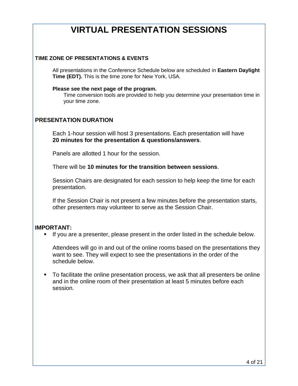### **VIRTUAL PRESENTATION SESSIONS**

#### **TIME ZONE OF PRESENTATIONS & EVENTS**

All presentations in the Conference Schedule below are scheduled in **Eastern Daylight Time (EDT).** This is the time zone for New York, USA.

#### **Please see the next page of the program.**

Time conversion tools are provided to help you determine your presentation time in your time zone.

#### **PRESENTATION DURATION**

Each 1-hour session will host 3 presentations. Each presentation will have **20 minutes for the presentation & questions/answers**.

Panels are allotted 1 hour for the session.

There will be **10 minutes for the transition between sessions**.

Session Chairs are designated for each session to help keep the time for each presentation.

If the Session Chair is not present a few minutes before the presentation starts, other presenters may volunteer to serve as the Session Chair.

#### **IMPORTANT:**

▪ If you are a presenter, please present in the order listed in the schedule below.

Attendees will go in and out of the online rooms based on the presentations they want to see. They will expect to see the presentations in the order of the schedule below.

■ To facilitate the online presentation process, we ask that all presenters be online and in the online room of their presentation at least 5 minutes before each session.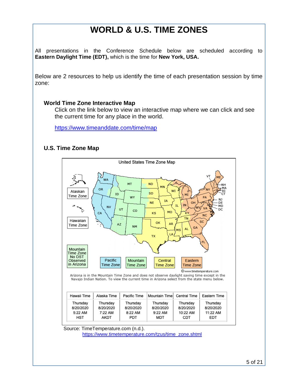### **WORLD & U.S. TIME ZONES**

All presentations in the Conference Schedule below are scheduled according to **Eastern Daylight Time (EDT),** which is the time for **New York, USA.**

Below are 2 resources to help us identify the time of each presentation session by time zone:

#### **World Time Zone Interactive Map**

Click on the link below to view an interactive map where we can click and see the current time for any place in the world.

<https://www.timeanddate.com/time/map>

#### **U.S. Time Zone Map**

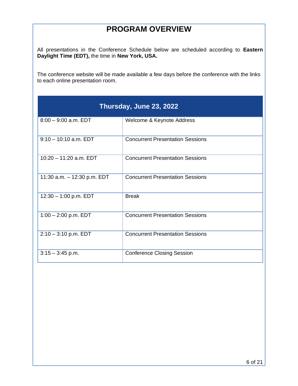### **PROGRAM OVERVIEW**

All presentations in the Conference Schedule below are scheduled according to **Eastern Daylight Time (EDT),** the time in **New York, USA.**

The conference website will be made available a few days before the conference with the links to each online presentation room.

| Thursday, June 23, 2022     |                                         |
|-----------------------------|-----------------------------------------|
| $8:00 - 9:00$ a.m. EDT      | Welcome & Keynote Address               |
| $9:10 - 10:10$ a.m. EDT     | <b>Concurrent Presentation Sessions</b> |
| $10:20 - 11:20$ a.m. EDT    | <b>Concurrent Presentation Sessions</b> |
| 11:30 a.m. - 12:30 p.m. EDT | <b>Concurrent Presentation Sessions</b> |
| $12:30 - 1:00$ p.m. EDT     | <b>Break</b>                            |
| $1:00 - 2:00$ p.m. EDT      | <b>Concurrent Presentation Sessions</b> |
| $2:10 - 3:10$ p.m. EDT      | <b>Concurrent Presentation Sessions</b> |
| $3:15 - 3:45$ p.m.          | <b>Conference Closing Session</b>       |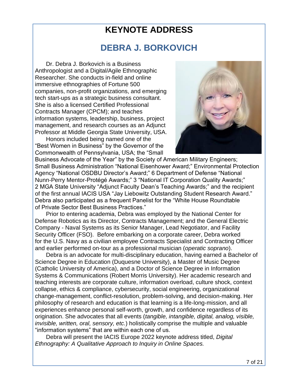### **KEYNOTE ADDRESS**

### **DEBRA J. BORKOVICH**

Dr. Debra J. Borkovich is a Business Anthropologist and a Digital/Agile Ethnographic Researcher. She conducts in-field and online immersive ethnographies of Fortune 500 companies, non-profit organizations, and emerging tech start-ups as a strategic business consultant. She is also a licensed Certified Professional Contracts Manager (CPCM); and teaches information systems, leadership, business, project management, and research courses as an Adjunct Professor at Middle Georgia State University, USA.

Honors included being named one of the "Best Women in Business" by the Governor of the Commonwealth of Pennsylvania, USA; the "Small



Business Advocate of the Year" by the Society of American Military Engineers; Small Business Administration "National Eisenhower Award;" Environmental Protection Agency "National OSDBU Director's Award;" 6 Department of Defense "National Nunn-Perry Mentor-Protégé Awards;" 3 "National IT Corporation Quality Awards;" 2 MGA State University "Adjunct Faculty Dean's Teaching Awards;" and the recipient of the first annual IACIS USA "Jay Liebowitz Outstanding Student Research Award." Debra also participated as a frequent Panelist for the "White House Roundtable of Private Sector Best Business Practices."

Prior to entering academia, Debra was employed by the National Center for Defense Robotics as its Director, Contracts Management; and the General Electric Company - Naval Systems as its Senior Manager, Lead Negotiator, and Facility Security Officer (FSO). Before embarking on a corporate career, Debra worked for the U.S. Navy as a civilian employee Contracts Specialist and Contracting Officer and earlier performed on-tour as a professional musician (*operatic soprano*).

Debra is an advocate for multi-disciplinary education, having earned a Bachelor of Science Degree in Education (Duquesne University), a Master of Music Degree (Catholic University of America), and a Doctor of Science Degree in Information Systems & Communications (Robert Morris University). Her academic research and teaching interests are corporate culture, information overload, culture shock, context collapse, ethics & compliance, cybersecurity, social engineering, organizational change-management, conflict-resolution, problem-solving, and decision-making. Her philosophy of research and education is that learning is a life-long-mission, and all experiences enhance personal self-worth, growth, and confidence regardless of its origination. She advocates that all events (*tangible, intangible, digital, analog, visible, invisible, written, oral, sensory, etc.*) holistically comprise the multiple and valuable "information systems" that are within each one of us.

Debra will present the IACIS Europe 2022 keynote address titled, *Digital Ethnography: A Qualitative Approach to Inquiry in Online Spaces.*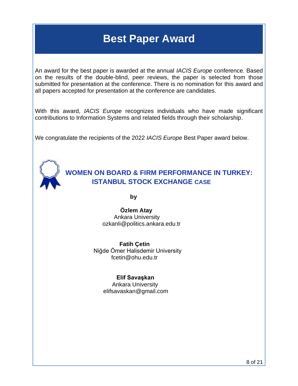### **Best Paper Award**

An award for the best paper is awarded at the annual *IACIS Europe* conference. Based on the results of the double-blind, peer reviews, the paper is selected from those submitted for presentation at the conference. There is no nomination for this award and all papers accepted for presentation at the conference are candidates.

With this award, *IACIS Europe* recognizes individuals who have made significant contributions to Information Systems and related fields through their scholarship.

We congratulate the recipients of the 2022 *IACIS Europe* Best Paper award below.



**WOMEN ON BOARD & FIRM PERFORMANCE IN TURKEY: ISTANBUL STOCK EXCHANGE CASE**

**by** 

 **Özlem Atay** Ankara University ozkanli@politics.ankara.edu.tr

 **Fatih Çetin** Niğde Ömer Halisdemir University fcetin@ohu.edu.tr

#### **Elif Savaşkan**

 Ankara University elifsavaskan@gmail.com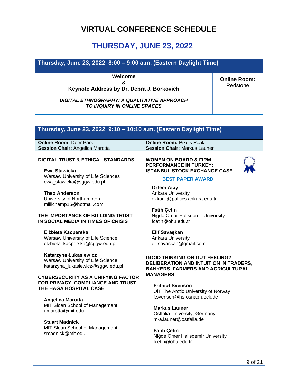| <b>VIRTUAL CONFERENCE SCHEDULE</b>                                                                                                                                                                                                                                                                                                                                                                                                                                                                                                                                                                                                                                                                                                                              |                                                                                                                                                                                                                                                                                                                                                                                                                                                                                                                                                                                                                                                                                                                                                                                   |                                 |
|-----------------------------------------------------------------------------------------------------------------------------------------------------------------------------------------------------------------------------------------------------------------------------------------------------------------------------------------------------------------------------------------------------------------------------------------------------------------------------------------------------------------------------------------------------------------------------------------------------------------------------------------------------------------------------------------------------------------------------------------------------------------|-----------------------------------------------------------------------------------------------------------------------------------------------------------------------------------------------------------------------------------------------------------------------------------------------------------------------------------------------------------------------------------------------------------------------------------------------------------------------------------------------------------------------------------------------------------------------------------------------------------------------------------------------------------------------------------------------------------------------------------------------------------------------------------|---------------------------------|
| <b>THURSDAY, JUNE 23, 2022</b>                                                                                                                                                                                                                                                                                                                                                                                                                                                                                                                                                                                                                                                                                                                                  |                                                                                                                                                                                                                                                                                                                                                                                                                                                                                                                                                                                                                                                                                                                                                                                   |                                 |
| Thursday, June 23, 2022, 8:00 - 9:00 a.m. (Eastern Daylight Time)                                                                                                                                                                                                                                                                                                                                                                                                                                                                                                                                                                                                                                                                                               |                                                                                                                                                                                                                                                                                                                                                                                                                                                                                                                                                                                                                                                                                                                                                                                   |                                 |
| Welcome<br>&<br>Keynote Address by Dr. Debra J. Borkovich<br>DIGITAL ETHNOGRAPHY: A QUALITATIVE APPROACH<br>TO INQUIRY IN ONLINE SPACES                                                                                                                                                                                                                                                                                                                                                                                                                                                                                                                                                                                                                         |                                                                                                                                                                                                                                                                                                                                                                                                                                                                                                                                                                                                                                                                                                                                                                                   | <b>Online Room:</b><br>Redstone |
| Thursday, June 23, 2022, 9:10 - 10:10 a.m. (Eastern Daylight Time)<br><b>Online Room: Deer Park</b><br><b>Session Chair: Angelica Marotta</b>                                                                                                                                                                                                                                                                                                                                                                                                                                                                                                                                                                                                                   | <b>Online Room: Pike's Peak</b><br><b>Session Chair: Markus Launer</b>                                                                                                                                                                                                                                                                                                                                                                                                                                                                                                                                                                                                                                                                                                            |                                 |
| <b>DIGITAL TRUST &amp; ETHICAL STANDARDS</b><br>Ewa Stawicka<br>Warsaw University of Life Sciences<br>ewa_stawicka@sggw.edu.pl<br><b>Theo Anderson</b><br>University of Northampton<br>millichamp15@hotmail.com<br>THE IMPORTANCE OF BUILDING TRUST<br>IN SOCIAL MEDIA IN TIMES OF CRISIS<br>Elżbieta Kacperska<br>Warsaw University of Life Science<br>elzbieta_kacperska@sggw.edu.pl<br>Katarzyna Łukasiewicz<br>Warsaw University of Life Science<br>katarzyna_lukasiewicz@sggw.edu.pl<br><b>CYBERSECURITY AS A UNIFYING FACTOR</b><br>FOR PRIVACY, COMPLIANCE AND TRUST:<br>THE HAGA HOSPITAL CASE<br>Angelica Marotta<br>MIT Sloan School of Management<br>amarotta@mit.edu<br><b>Stuart Madnick</b><br>MIT Sloan School of Management<br>smadnick@mit.edu | <b>WOMEN ON BOARD &amp; FIRM</b><br><b>PERFORMANCE IN TURKEY:</b><br><b>ISTANBUL STOCK EXCHANGE CASE</b><br><b>BEST PAPER AWARD</b><br>Özlem Atay<br><b>Ankara University</b><br>ozkanli@politics.ankara.edu.tr<br><b>Fatih Çetin</b><br>Niğde Ömer Halisdemir University<br>fcetin@ohu.edu.tr<br>Elif Savaşkan<br>Ankara University<br>elifsavaskan@gmail.com<br><b>GOOD THINKING OR GUT FEELING?</b><br>DELIBERATION AND INTUITION IN TRADERS,<br><b>BANKERS, FARMERS AND AGRICULTURAL</b><br><b>MANAGERS</b><br><b>Frithiof Svenson</b><br>UiT The Arctic University of Norway<br>f.svenson@hs-osnabrueck.de<br><b>Markus Launer</b><br>Ostfalia University, Germany,<br>m-a.launer@ostfalia.de<br><b>Fatih Çetin</b><br>Niğde Ömer Halisdemir University<br>fcetin@ohu.edu.tr |                                 |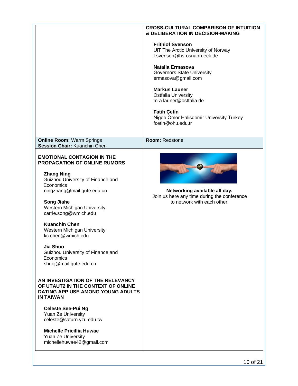|                                                                                                                                                                                                                                                                                                                                                                                                                                                                                                                                                                                                                                                                                                             | <b>CROSS-CULTURAL COMPARISON OF INTUITION</b><br>& DELIBERATION IN DECISION-MAKING                                                                                                                                                                                                                                                         |
|-------------------------------------------------------------------------------------------------------------------------------------------------------------------------------------------------------------------------------------------------------------------------------------------------------------------------------------------------------------------------------------------------------------------------------------------------------------------------------------------------------------------------------------------------------------------------------------------------------------------------------------------------------------------------------------------------------------|--------------------------------------------------------------------------------------------------------------------------------------------------------------------------------------------------------------------------------------------------------------------------------------------------------------------------------------------|
|                                                                                                                                                                                                                                                                                                                                                                                                                                                                                                                                                                                                                                                                                                             | <b>Frithiof Svenson</b><br>UiT The Arctic University of Norway<br>f.svenson@hs-osnabrueck.de<br>Natalia Ermasova<br><b>Governors State University</b><br>ermasova@gmail.com<br><b>Markus Launer</b><br>Ostfalia University<br>m-a.launer@ostfalia.de<br><b>Fatih Çetin</b><br>Niğde Ömer Halisdemir University Turkey<br>fcetin@ohu.edu.tr |
| <b>Online Room: Warm Springs</b>                                                                                                                                                                                                                                                                                                                                                                                                                                                                                                                                                                                                                                                                            | Room: Redstone                                                                                                                                                                                                                                                                                                                             |
| Session Chair: Kuanchin Chen                                                                                                                                                                                                                                                                                                                                                                                                                                                                                                                                                                                                                                                                                |                                                                                                                                                                                                                                                                                                                                            |
| <b>EMOTIONAL CONTAGION IN THE</b><br><b>PROPAGATION OF ONLINE RUMORS</b><br><b>Zhang Ning</b><br>Guizhou University of Finance and<br>Economics<br>ningzhang@mail.gufe.edu.cn<br><b>Song Jiahe</b><br>Western Michigan University<br>carrie.song@wmich.edu<br><b>Kuanchin Chen</b><br>Western Michigan University<br>kc.chen@wmich.edu<br>Jia Shuo<br>Guizhou University of Finance and<br>Economics<br>shuoj@mail.gufe.edu.cn<br>AN INVESTIGATION OF THE RELEVANCY<br>OF UTAUT2 IN THE CONTEXT OF ONLINE<br>DATING APP USE AMONG YOUNG ADULTS<br><b>IN TAIWAN</b><br><b>Celeste See-Pui Ng</b><br>Yuan Ze University<br>celeste@saturn.yzu.edu.tw<br><b>Michelle Pricillia Huwae</b><br>Yuan Ze University | Networking available all day.<br>Join us here any time during the conference<br>to network with each other.                                                                                                                                                                                                                                |
| michellehuwae42@gmail.com                                                                                                                                                                                                                                                                                                                                                                                                                                                                                                                                                                                                                                                                                   |                                                                                                                                                                                                                                                                                                                                            |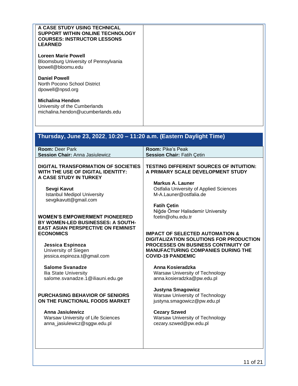| A CASE STUDY USING TECHNICAL<br>SUPPORT WITHIN ONLINE TECHNOLOGY<br><b>COURSES: INSTRUCTOR LESSONS</b><br><b>LEARNED</b><br><b>Loreen Marie Powell</b><br>Bloomsburg University of Pennsylvania<br>lpowell@bloomu.edu<br><b>Daniel Powell</b><br>North Pocono School District<br>dpowell@npsd.org<br><b>Michalina Hendon</b><br>University of the Cumberlands<br>michalina.hendon@ucumberlands.edu                                                                                                                                                                                                                                                                                   |                                                                                                                                                                                                                                                                                                                                                                                                                                                                                                                                                                                                                                                                                                                                                    |
|--------------------------------------------------------------------------------------------------------------------------------------------------------------------------------------------------------------------------------------------------------------------------------------------------------------------------------------------------------------------------------------------------------------------------------------------------------------------------------------------------------------------------------------------------------------------------------------------------------------------------------------------------------------------------------------|----------------------------------------------------------------------------------------------------------------------------------------------------------------------------------------------------------------------------------------------------------------------------------------------------------------------------------------------------------------------------------------------------------------------------------------------------------------------------------------------------------------------------------------------------------------------------------------------------------------------------------------------------------------------------------------------------------------------------------------------------|
| Thursday, June 23, 2022, 10:20 - 11:20 a.m. (Eastern Daylight Time)                                                                                                                                                                                                                                                                                                                                                                                                                                                                                                                                                                                                                  |                                                                                                                                                                                                                                                                                                                                                                                                                                                                                                                                                                                                                                                                                                                                                    |
| <b>Room: Deer Park</b><br><b>Session Chair: Anna Jasiulewicz</b>                                                                                                                                                                                                                                                                                                                                                                                                                                                                                                                                                                                                                     | <b>Room: Pike's Peak</b><br>Session Chair: Fatih Çetin                                                                                                                                                                                                                                                                                                                                                                                                                                                                                                                                                                                                                                                                                             |
| <b>DIGITAL TRANSFORMATION OF SOCIETIES</b><br>WITH THE USE OF DIGITAL IDENTITY:<br>A CASE STUDY IN TURKEY<br>Sevgi Kavut<br><b>Istanbul Medipol University</b><br>sevgikavutt@gmail.com<br><b>WOMEN'S EMPOWERMENT PIONEERED</b><br>BY WOMEN-LED BUSINESSES: A SOUTH-<br><b>EAST ASIAN PERSPECTIVE ON FEMINIST</b><br><b>ECONOMICS</b><br>Jessica Espinoza<br>University of Siegen<br>jessica.espinoza.t@gmail.com<br><b>Salome Svanadze</b><br>Ilia State University<br>salome.svanadze.1@iliauni.edu.ge<br><b>PURCHASING BEHAVIOR OF SENIORS</b><br>ON THE FUNCTIONAL FOODS MARKET<br><b>Anna Jasiulewicz</b><br>Warsaw University of Life Sciences<br>anna_jasiulewicz@sggw.edu.pl | <b>TESTING DIFFERENT SOURCES OF INTUITION:</b><br>A PRIMARY SCALE DEVELOPMENT STUDY<br><b>Markus A. Launer</b><br><b>Ostfalia University of Applied Sciences</b><br>M-A.Launer@ostfalia.de<br><b>Fatih Çetin</b><br>Niğde Ömer Halisdemir University<br>fcetin@ohu.edu.tr<br><b>IMPACT OF SELECTED AUTOMATION &amp;</b><br>DIGITALIZATION SOLUTIONS FOR PRODUCTION<br>PROCESSES ON BUSINESS CONTINUITY OF<br><b>MANUFACTURING COMPANIES DURING THE</b><br><b>COVID-19 PANDEMIC</b><br>Anna Kosieradzka<br>Warsaw University of Technology<br>anna.kosieradzka@pw.edu.pl<br>Justyna Smagowicz<br>Warsaw University of Technology<br>justyna.smagowicz@pw.edu.pl<br><b>Cezary Szwed</b><br>Warsaw University of Technology<br>cezary.szwed@pw.edu.pl |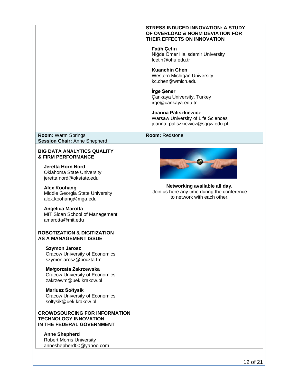|                                                                                                   | <b>STRESS INDUCED INNOVATION: A STUDY</b><br>OF OVERLOAD & NORM DEVIATION FOR<br>THEIR EFFECTS ON INNOVATION |
|---------------------------------------------------------------------------------------------------|--------------------------------------------------------------------------------------------------------------|
|                                                                                                   | <b>Fatih Çetin</b><br>Niğde Ömer Halisdemir University<br>fcetin@ohu.edu.tr                                  |
|                                                                                                   | <b>Kuanchin Chen</b><br>Western Michigan University<br>kc.chen@wmich.edu                                     |
|                                                                                                   | <b>Irge Şener</b><br><b>Çankaya University, Turkey</b><br>irge@cankaya.edu.tr                                |
|                                                                                                   | Joanna Paliszkiewicz<br>Warsaw University of Life Sciences<br>joanna_paliszkiewicz@sggw.edu.pl               |
| Room: Warm Springs<br><b>Session Chair: Anne Shepherd</b>                                         | Room: Redstone                                                                                               |
| <b>BIG DATA ANALYTICS QUALITY</b><br><b>&amp; FIRM PERFORMANCE</b>                                |                                                                                                              |
| Jeretta Horn Nord<br><b>Oklahoma State University</b><br>jeretta.nord@okstate.edu                 |                                                                                                              |
| <b>Alex Koohang</b><br>Middle Georgia State University<br>alex.koohang@mga.edu                    | Networking available all day.<br>Join us here any time during the conference<br>to network with each other.  |
| <b>Angelica Marotta</b><br>MIT Sloan School of Management<br>amarotta@mit.edu                     |                                                                                                              |
| <b>ROBOTIZATION &amp; DIGITIZATION</b><br><b>AS A MANAGEMENT ISSUE</b>                            |                                                                                                              |
| <b>Szymon Jarosz</b><br><b>Cracow University of Economics</b><br>szymonjarosz@poczta.fm           |                                                                                                              |
| Małgorzata Zakrzewska<br><b>Cracow University of Economics</b><br>zakrzewm@uek.krakow.pl          |                                                                                                              |
| <b>Mariusz Soltysik</b><br><b>Cracow University of Economics</b><br>soltysik@uek.krakow.pl        |                                                                                                              |
| <b>CROWDSOURCING FOR INFORMATION</b><br><b>TECHNOLOGY INNOVATION</b><br>IN THE FEDERAL GOVERNMENT |                                                                                                              |
| <b>Anne Shepherd</b><br><b>Robert Morris University</b><br>anneshepherd00@yahoo.com               |                                                                                                              |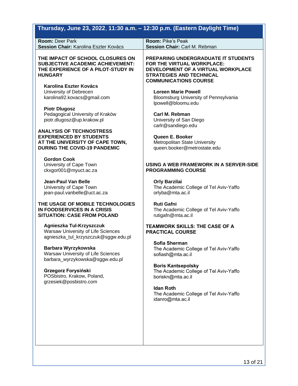| Thursday, June 23, 2022, 11:30 a.m. - 12:30 p.m. (Eastern Daylight Time)                                                                                                                       |                                                                                                                                                                                                                 |
|------------------------------------------------------------------------------------------------------------------------------------------------------------------------------------------------|-----------------------------------------------------------------------------------------------------------------------------------------------------------------------------------------------------------------|
| Room: Deer Park<br>Session Chair: Karolina Eszter Kovács                                                                                                                                       | <b>Room: Pike's Peak</b><br>Session Chair: Carl M. Rebman                                                                                                                                                       |
| THE IMPACT OF SCHOOL CLOSURES ON<br><b>SUBJECTIVE ACADEMIC ACHIEVEMENT:</b><br>THE EXPERIENCE OF A PILOT-STUDY IN<br><b>HUNGARY</b><br><b>Karolina Eszter Kovács</b><br>University of Debrecen | <b>PREPARING UNDERGRADUATE IT STUDENTS</b><br>FOR THE VIRTUAL WORKPLACE:<br>DEVELOPMENT OF A VIRTUAL WORKPLACE<br><b>STRATEGIES AND TECHNICAL</b><br><b>COMMUNICATIONS COURSE</b><br><b>Loreen Marie Powell</b> |
| karolina92.kovacs@gmail.com                                                                                                                                                                    | Bloomsburg University of Pennsylvania<br>lpowell@bloomu.edu                                                                                                                                                     |
| <b>Piotr Dlugosz</b><br>Pedagogical University of Kraków<br>piotr.dlugosz@up.krakow.pl                                                                                                         | Carl M. Rebman<br>University of San Diego<br>carlr@sandiego.edu                                                                                                                                                 |
| <b>ANALYSIS OF TECHNOSTRESS</b><br><b>EXPERIENCED BY STUDENTS</b><br>AT THE UNIVERSITY OF CAPE TOWN,<br><b>DURING THE COVID-19 PANDEMIC</b>                                                    | Queen E. Booker<br>Metropolitan State University<br>queen.booker@metrostate.edu                                                                                                                                 |
| <b>Gordon Cook</b><br>University of Cape Town<br>ckxgor001@myuct.ac.za                                                                                                                         | USING A WEB FRAMEWORK IN A SERVER-SIDE<br><b>PROGRAMMING COURSE</b>                                                                                                                                             |
| <b>Jean-Paul Van Belle</b><br>University of Cape Town<br>jean-paul.vanbelle@uct.ac.za                                                                                                          | <b>Orly Barzilai</b><br>The Academic College of Tel Aviv-Yaffo<br>orlyba@mta.ac.il                                                                                                                              |
| THE USAGE OF MOBILE TECHNOLOGIES<br>IN FOODSERVICES IN A CRISIS<br><b>SITUATION: CASE FROM POLAND</b>                                                                                          | <b>Ruti Gafni</b><br>The Academic College of Tel Aviv-Yaffo<br>rutigafn@mta.ac.il                                                                                                                               |
| Agnieszka Tul-Krzyszczuk<br>Warsaw University of Life Sciences<br>agnieszka_tul_krzyszczuk@sggw.edu.pl                                                                                         | <b>TEAMWORK SKILLS: THE CASE OF A</b><br><b>PRACTICAL COURSE</b>                                                                                                                                                |
| Barbara Wyrzykowska<br>Warsaw University of Life Sciences<br>barbara_wyrzykowska@sggw.edu.pl                                                                                                   | Sofia Sherman<br>The Academic College of Tel Aviv-Yaffo<br>sofiash@mta.ac.il                                                                                                                                    |
| Grzegorz Forysiński<br>POSbistro, Krakow, Poland,<br>grzesiek@posbistro.com                                                                                                                    | <b>Boris Kantsepolsky</b><br>The Academic College of Tel Aviv-Yaffo<br>boriskn@mta.ac.il                                                                                                                        |
|                                                                                                                                                                                                | <b>Idan Roth</b><br>The Academic College of Tel Aviv-Yaffo<br>idanro@mta.ac.il                                                                                                                                  |
|                                                                                                                                                                                                |                                                                                                                                                                                                                 |
|                                                                                                                                                                                                |                                                                                                                                                                                                                 |
|                                                                                                                                                                                                |                                                                                                                                                                                                                 |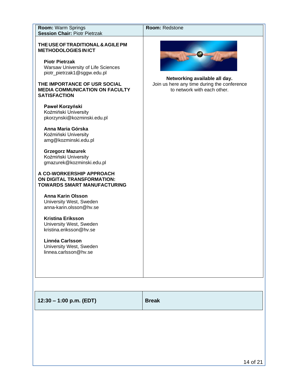| Room: Warm Springs<br><b>Session Chair: Piotr Pietrzak</b>                                                                                                                                                                                                                                                                                                                                                                                                                                                                                                                                                                                                                                                                                                                                                                               | Room: Redstone                                                                                              |
|------------------------------------------------------------------------------------------------------------------------------------------------------------------------------------------------------------------------------------------------------------------------------------------------------------------------------------------------------------------------------------------------------------------------------------------------------------------------------------------------------------------------------------------------------------------------------------------------------------------------------------------------------------------------------------------------------------------------------------------------------------------------------------------------------------------------------------------|-------------------------------------------------------------------------------------------------------------|
| THE USE OF TRADITIONAL & AGILE PM<br><b>METHODOLOGIES IN ICT</b><br><b>Piotr Pietrzak</b><br>Warsaw University of Life Sciences<br>piotr_pietrzak1@sggw.edu.pl<br>THE IMPORTANCE OF USR SOCIAL<br><b>MEDIA COMMUNICATION ON FACULTY</b><br><b>SATISFACTION</b><br>Paweł Korzyński<br>Koźmiński University<br>pkorzynski@kozminski.edu.pl<br>Anna Maria Górska<br>Koźmiński University<br>amg@kozminski.edu.pl<br><b>Grzegorz Mazurek</b><br>Koźmiński University<br>gmazurek@kozminski.edu.pl<br>A CO-WORKERSHIP APPROACH<br>ON DIGITAL TRANSFORMATION:<br><b>TOWARDS SMART MANUFACTURING</b><br><b>Anna Karin Olsson</b><br>University West, Sweden<br>anna-karin.olsson@hv.se<br><b>Kristina Eriksson</b><br>University West, Sweden<br>kristina.eriksson@hv.se<br>Linnéa Carlsson<br>University West, Sweden<br>linnea.carlsson@hv.se | Networking available all day.<br>Join us here any time during the conference<br>to network with each other. |
| $12:30 - 1:00$ p.m. (EDT)                                                                                                                                                                                                                                                                                                                                                                                                                                                                                                                                                                                                                                                                                                                                                                                                                | <b>Break</b>                                                                                                |
|                                                                                                                                                                                                                                                                                                                                                                                                                                                                                                                                                                                                                                                                                                                                                                                                                                          |                                                                                                             |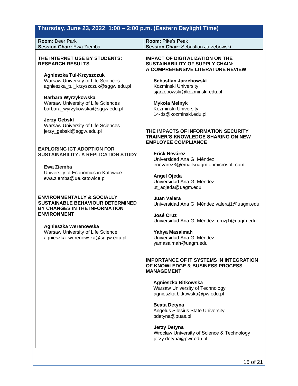### **Thursday, June 23, 2022**, **1:00 – 2:00 p.m. (Eastern Daylight Time)**

| <b>Room: Deer Park</b>                                                                                                                  | <b>Room: Pike's Peak</b>                                                                                              |
|-----------------------------------------------------------------------------------------------------------------------------------------|-----------------------------------------------------------------------------------------------------------------------|
| <b>Session Chair: Ewa Ziemba</b>                                                                                                        | Session Chair: Sebastian Jarzębowski                                                                                  |
| THE INTERNET USE BY STUDENTS:<br><b>RESEARCH RESULTS</b>                                                                                | <b>IMPACT OF DIGITALIZATION ON THE</b><br><b>SUSTAINABILITY OF SUPPLY CHAIN:</b><br>A COMPREHENSIVE LITERATURE REVIEW |
| Agnieszka Tul-Krzyszczuk<br>Warsaw University of Life Sciences<br>agnieszka_tul_krzyszczuk@sggw.edu.pl                                  | Sebastian Jarzębowski<br>Kozminski University<br>sjarzebowski@kozminski.edu.pl                                        |
| Barbara Wyrzykowska<br>Warsaw University of Life Sciences<br>barbara_wyrzykowska@sggw.edu.pl                                            | <b>Mykola Melnyk</b><br>Kozminski University,<br>14-ds@kozminski.edu.pl                                               |
| Jerzy Gębski<br>Warsaw University of Life Sciences<br>jerzy_gebski@sggw.edu.pl                                                          | THE IMPACTS OF INFORMATION SECURITY<br><b>TRAINER'S KNOWLEDGE SHARING ON NEW</b><br><b>EMPLOYEE COMPLIANCE</b>        |
| <b>EXPLORING ICT ADOPTION FOR</b><br><b>SUSTAINABILITY: A REPLICATION STUDY</b>                                                         | <b>Erick Nevárez</b><br>Universidad Ana G. Méndez                                                                     |
| Ewa Ziemba<br>University of Economics in Katowice<br>ewa.ziemba@ue.katowice.pl                                                          | enevarez3@emailsuagm.onmicrosoft.com<br>Angel Ojeda<br>Universidad Ana G. Méndez<br>ut_aojeda@uagm.edu                |
| <b>ENVIRONMENTALLY &amp; SOCIALLY</b><br><b>SUSTAINABLE BEHAVIOUR DETERMINED</b><br>BY CHANGES IN THE INFORMATION<br><b>ENVIRONMENT</b> | Juan Valera<br>Universidad Ana G. Méndez valeraj1@uagm.edu<br><b>José Cruz</b>                                        |
| Agnieszka Werenowska                                                                                                                    | Universidad Ana G. Méndez, cruzj1@uagm.edu                                                                            |
| Warsaw University of Life Science                                                                                                       | Yahya Masalmah                                                                                                        |
| agnieszka_werenowska@sggw.edu.pl                                                                                                        | Universidad Ana G. Méndez                                                                                             |
|                                                                                                                                         | yamasalmah@uagm.edu                                                                                                   |
|                                                                                                                                         | <b>IMPORTANCE OF IT SYSTEMS IN INTEGRATION</b><br>OF KNOWLEDGE & BUSINESS PROCESS<br><b>MANAGEMENT</b>                |
|                                                                                                                                         | Agnieszka Bitkowska<br>Warsaw University of Technology<br>agnieszka.bitkowska@pw.edu.pl                               |
|                                                                                                                                         | <b>Beata Detyna</b><br>Angelus Silesius State University<br>bdetyna@puas.pl                                           |
|                                                                                                                                         | Jerzy Detyna<br>Wrocław University of Science & Technology<br>jerzy.detyna@pwr.edu.pl                                 |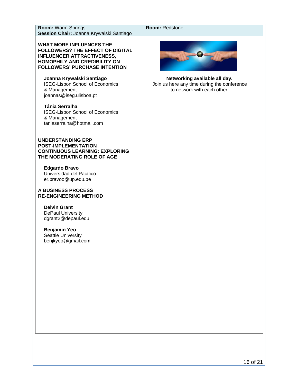| Room: Warm Springs                                                                                                            | Room: Redstone                                                                                              |
|-------------------------------------------------------------------------------------------------------------------------------|-------------------------------------------------------------------------------------------------------------|
| Session Chair: Joanna Krywalski Santiago<br><b>WHAT MORE INFLUENCES THE</b><br><b>FOLLOWERS? THE EFFECT OF DIGITAL</b>        |                                                                                                             |
| <b>INFLUENCER ATTRACTIVENESS,</b><br>HOMOPHILY AND CREDIBILITY ON<br><b>FOLLOWERS' PURCHASE INTENTION</b>                     |                                                                                                             |
| Joanna Krywalski Santiago<br><b>ISEG-Lisbon School of Economics</b><br>& Management<br>joannas@iseg.ulisboa.pt                | Networking available all day.<br>Join us here any time during the conference<br>to network with each other. |
| Tânia Serralha<br><b>ISEG-Lisbon School of Economics</b><br>& Management<br>taniaserralha@hotmail.com                         |                                                                                                             |
| <b>UNDERSTANDING ERP</b><br><b>POST-IMPLEMENTATION</b><br><b>CONTINUOUS LEARNING: EXPLORING</b><br>THE MODERATING ROLE OF AGE |                                                                                                             |
| <b>Edgardo Bravo</b><br>Universidad del Pacífico<br>er.bravoo@up.edu.pe                                                       |                                                                                                             |
| A BUSINESS PROCESS<br><b>RE-ENGINEERING METHOD</b>                                                                            |                                                                                                             |
| <b>Delvin Grant</b><br><b>DePaul University</b><br>dgrant2@depaul.edu                                                         |                                                                                                             |
| <b>Benjamin Yeo</b><br><b>Seattle University</b><br>benjkyeo@gmail.com                                                        |                                                                                                             |
|                                                                                                                               |                                                                                                             |
|                                                                                                                               |                                                                                                             |
|                                                                                                                               |                                                                                                             |
|                                                                                                                               |                                                                                                             |
|                                                                                                                               |                                                                                                             |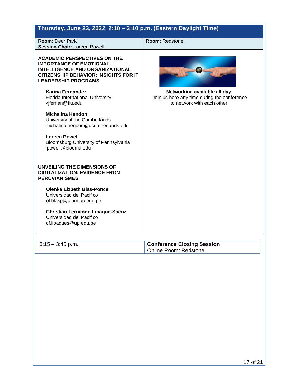| Thursday, June 23, 2022, 2:10 - 3:10 p.m. (Eastern Daylight Time)                                                                                                                             |                                                                                                             |
|-----------------------------------------------------------------------------------------------------------------------------------------------------------------------------------------------|-------------------------------------------------------------------------------------------------------------|
| <b>Room: Deer Park</b><br><b>Session Chair: Loreen Powell</b>                                                                                                                                 | Room: Redstone                                                                                              |
| <b>ACADEMIC PERSPECTIVES ON THE</b><br><b>IMPORTANCE OF EMOTIONAL</b><br><b>INTELLIGENCE AND ORGANIZATIONAL</b><br><b>CITIZENSHIP BEHAVIOR: INSIGHTS FOR IT</b><br><b>LEADERSHIP PROGRAMS</b> |                                                                                                             |
| Karina Fernandez<br>Florida International University<br>kjfernan@fiu.edu                                                                                                                      | Networking available all day.<br>Join us here any time during the conference<br>to network with each other. |
| <b>Michalina Hendon</b><br>University of the Cumberlands<br>michalina.hendon@ucumberlands.edu                                                                                                 |                                                                                                             |
| <b>Loreen Powell</b><br>Bloomsburg University of Pennsylvania<br>lpowell@bloomu.edu                                                                                                           |                                                                                                             |
| UNVEILING THE DIMENSIONS OF<br><b>DIGITALIZATION: EVIDENCE FROM</b><br><b>PERUVIAN SMES</b>                                                                                                   |                                                                                                             |
| <b>Olenka Lizbeth Blas-Ponce</b><br>Universidad del Pacifico<br>ol.blasp@alum.up.edu.pe                                                                                                       |                                                                                                             |
| <b>Christian Fernando Libaque-Saenz</b><br>Universidad del Pacifico<br>cf.libaques@up.edu.pe                                                                                                  |                                                                                                             |
| $3:15 - 3:45$ p.m.                                                                                                                                                                            | <b>Conference Closing Session</b><br>Online Room: Redstone                                                  |
|                                                                                                                                                                                               |                                                                                                             |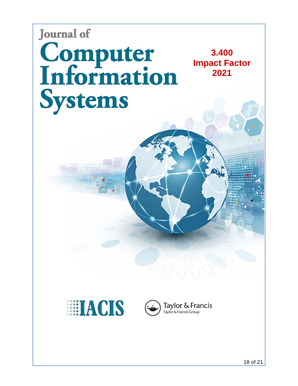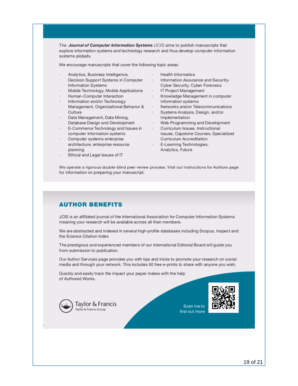The Journal of Computer Information Systems (JCIS) aims to publish manuscripts that explore information systems and technology research and thus develop computer information systems globally.

We encourage manuscripts that cover the following topic areas:

- Analytics, Business Intelligence, Decision Support Systems in Computer Information Systems
- Mobile Technology, Mobile Applications
- Human-Computer Interaction
- Information and/or Technology Management, Organizational Behavior & Networks and/or Telecommunications Culture
- Data Management, Data Mining, Database Design and Development
- E-Commerce Technology and Issues in computer information systems
- Computer systems enterprise architecture, enterprise resource planning
- Ethical and Legal Issues of IT
- **Health Informatics**
- $\sim$ Information Assurance and Security-Cyber Security, Cyber Forensics
- · IT Project Management
- Knowledge Management in computer information systems
- 
- · Systems Analysis, Design, and/or Implementation
- · Web Programming and Development
- · Curriculum Issues, Instructional Issues, Capstone Courses, Specialized **Curriculum Accreditation**
- · E-Learning Technologies, Analytics, Future

We operate a rigorous double-blind peer review process. Visit our Instructions for Authors page for information on preparing your manuscript.

#### **AUTHOR BENEFITS**

JCIS is an affiliated journal of the International Association for Computer Information Systems meaning your research will be available across all their members.

We are abstracted and indexed in several high-profile databases including Scopus, Inspect and the Science Citation Index

The prestigious and experienced members of our international Editorial Board will guide you from submission to publication.

Our Author Services page provides you with tips and tricks to promote your research on social media and through your network. This includes 50 free e-prints to share with anyone you wish.

Quickly and easily track the impact your paper makes with the help of Authored Works.



Scan me to find out more

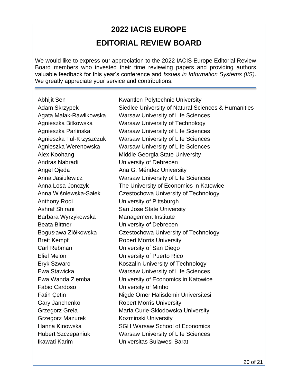### **2022 IACIS EUROPE EDITORIAL REVIEW BOARD**

We would like to express our appreciation to the 2022 IACIS Europe Editorial Review Board members who invested their time reviewing papers and providing authors valuable feedback for this year's conference and *Issues in Information Systems (IIS)*. We greatly appreciate your service and contributions.

Andras Nabradi University of Debrecen Anthony Rodi University of Pittsburgh Barbara Wyrzykowska Management Institute Beata Bittner **Example 20** University of Debrecen Brett Kempf Robert Morris University Carl Rebman University of San Diego Eliel Melon University of Puerto Rico Fabio Cardoso University of Minho Gary Janchenko Robert Morris University Grzegorz Mazurek Kozminski University

Abhijit Sen Kwantlen Polytechnic University Adam Skrzypek Siedlce University of Natural Sciences & Humanities Agata Malak-Rawlikowska Warsaw University of Life Sciences Agnieszka Bitkowska Warsaw University of Technology Agnieszka Parlinska Warsaw University of Life Sciences Agnieszka Tul-Krzyszczuk Warsaw University of Life Sciences Agnieszka Werenowska Warsaw University of Life Sciences Alex Koohang Middle Georgia State University Angel Ojeda **Ana G. Méndez University** Anna Jasiulewicz Warsaw University of Life Sciences Anna Losa-Jonczyk The University of Economics in Katowice Anna Wiśniewska-Sałek Czestochowa University of Technology Ashraf Shirani San Jose State University Bogusława Ziółkowska Czestochowa University of Technology Eryk Szwarc Koszalin University of Technology Ewa Stawicka Warsaw University of Life Sciences Ewa Wanda Ziemba University of Economics in Katowice Fatih Çetin Nigde Ömer Halisdemir Üniversitesi Grzegorz Grela **Maria Curie-Skłodowska University** Hanna Kinowska SGH Warsaw School of Economics Hubert Szczepaniuk Warsaw University of Life Sciences Ikawati Karim Universitas Sulawesi Barat